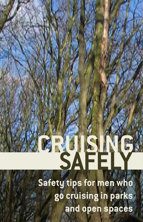# **CRUISING SAFELY**

**Safety tips for men who go cruising in parks and open spaces**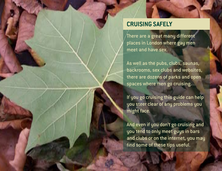# **CRUISING SAFELY**

There are a great many different places in London where gay men meet and have sex.

As well as the pubs, clubs, saunas, backrooms, sex clubs and websites, there are dozens of parks and open spaces where men go cruising.

If you go cruising this guide can help you steer clear of any problems you might face.

And even if you don't go cruising and you tend to only meet guys in bars and clubs or on the internet, you may find some of these tips useful.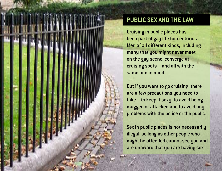

# **Public sex and the law**

Cruising in public places has been part of gay life for centuries. Men of all different kinds, including many that you might never meet on the gay scene, converge at cruising spots – and all with the same aim in mind.

But if you want to go cruising, there are a few precautions you need to take – to keep it sexy, to avoid being mugged or attacked and to avoid any problems with the police or the public.

Sex in public places is not necessarily illegal, so long as other people who might be offended cannot see you and are unaware that you are having sex.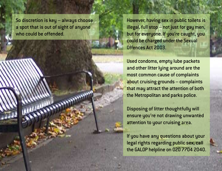So discretion is key – always choose a spot that is out of sight of anyone who could be offended.

However, having sex in public toilets is illegal, full stop – not just for gay men, but for everyone. If you're caught, you could be charged under the Sexual Offences Act 2003.

Used condoms, empty lube packets and other litter lying around are the most common cause of complaints about cruising grounds – complaints that may attract the attention of both the Metropolitan and parks police.

Disposing of litter thoughtfully will ensure you're not drawing unwanted attention to your cruising area.

If you have any questions about your legal rights regarding public sex, call the GALOP helpline on 020 7704 2040.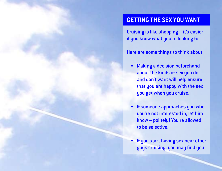## **getting the sex you want**

Cruising is like shopping – it's easier if you know what you're looking for.

Here are some things to think about:

- Making a decision beforehand about the kinds of sex you do and don't want will help ensure that you are happy with the sex you get when you cruise.
- If someone approaches you who you're not interested in, let him know – politely! You're allowed to be selective.
- If you start having sex near other guys cruising, you may find you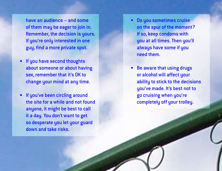have an audience – and some of them may be eager to join in. Remember, the decision is yours. If you're only interested in one guy, find a more private spot.

- If you have second thoughts about someone or about having sex, remember that it's OK to change your mind at any time.
- If you've been circling around the site for a while and not found anyone, it might be best to call it a day. You don't want to get so desperate you let your guard down and take risks.
- Do you sometimes cruise on the spur of the moment? If so, keep condoms with you at all times. Then you'll always have some if you need them.
- Be aware that using drugs or alcohol will affect your ability to stick to the decisions you've made. It's best not to go cruising when you're completely off your trolley.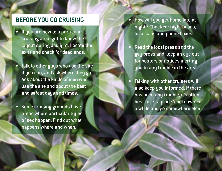# **BEFORE YOU GO C**

- If you are new to a particular cruising area, get to know the layout during daylight. Locate the exits and check for dead ends.
- Talk to other guys who use the site if you can, and ask where they go. Ask about the kinds of men who use the site and about the best and safest days and times.
- Some cruising grounds have areas where particular types of sex happen. Find out what happens where and when.
- How will you get home late at night? Check for night buses, local cabs and phone boxes.
- Read the local press and the gay press and keep an eye out for posters or notices alerting you to any trouble in the area.
- Talking with other cruisers will also keep you informed. If there has been any trouble, it's often best to let a place 'cool down' for a while and go somewhere else.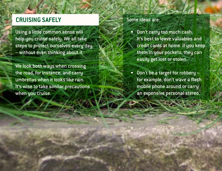# **cruising safely**

Using a little common sense will help you cruise safely. We all take steps to protect ourselves every day – without even thinking about it.

We look both ways when crossing the road, for instance, and carry umbrellas when it looks like rain. It's wise to take similar precautions when you cruise.

#### Some ideas are:

- Don't carry too much cash. It's best to leave valuables and credit cards at home. If you keep them in your pockets, they can easily get lost or stolen.
- Don't be a target for robbery for example, don't wave a flash mobile phone around or carry an expensive personal stereo.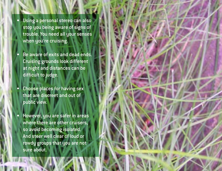• Using a personal stereo can also stop you being aware of signs of trouble. You need all your senses when you're cruising.

Be aware of exits and dead ends. Cruising grounds look different at night and distances can be difficult to judge.

• Choose places for having sex that are discreet and out of public view.

• However, you are safer in areas where there are other cruisers, so avoid becoming isolated. And steer well clear of loud or rowdy groups that you are not sure about.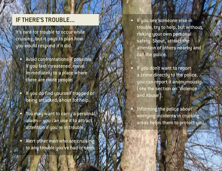#### **if there's trouble... '**

It's rare for trouble to occur while cruising, but it paus to plan how you would respond if it did. • Avoid confrontations if possible.

- If you feel threatened, move immediately to a place where there are more people.
- If you do find yourself trapped or being attacked, shout for help.
- You may want to carry a personal alarm – you can use it to attract attention if you're in trouble.
- Alert other men who are cruising to any trouble you've had or seen.
- If you see someone else in trouble, try to help, but without risking your own personal safety. Shout, attract the attention of others nearby and call the police.
- If you don't want to report a crime directly to the police, you can report it anonymously, (see the section on 'Violence and Abuse').
- Informing the police about worrying incidents in cruising areas helps them to protect you.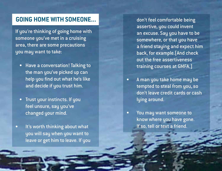# **GOING HOME WITH SOME**

If you're thinking of going home with someone you've met in a cruising area, there are some precautions you may want to take:

- Have a conversation! Talking to the man you've picked up can help you find out what he's like and decide if you trust him.
- Trust your instincts. If you feel unsure, say you've changed your mind.
- It's worth thinking about what you will say when you want to leave or get him to leave. If you

don't feel comfortable being assertive, you could invent an excuse. Say you have to be somewhere, or that you have a friend staying and expect him back, for example.(And check out the free assertiveness training courses at GMFA.)

- A man you take home may be tempted to steal from you, so don't leave credit cards or cash lying around.
- You may want someone to know where you have gone. If so, tell or text a friend.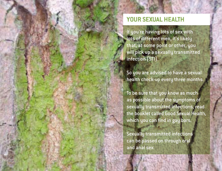# **your sexual health**

If you're having lots of sex with lots of different men, it's likely that, at some point or other, you will pick up a sexually transmitted infection (STI).

So you are advised to have a sexual health check-up every three months.

To be sure that you know as much as possible about the symptoms of sexually transmitted infections, read the booklet called Good Sexual Health, which you can find in gay bars.

Sexually transmitted infections can be passed on through oral and anal sex.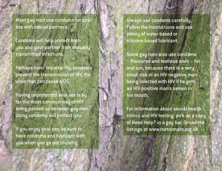Most gay men use condoms for anal sex with casual partners.

Condoms will help protect both uou and your partner from sexually transmitted infections.

Perhaps most importantly, condoms prevent the transmission of HIV, the virus that can cause AIDS.

Having unprotected anal sex is by far the most common way of HIV being passed on between gay men. Using condoms will protect you.

If you enjoy anal sex, be sure to have condoms and lubricant with you when you go out cruising.

Alwaus use condoms carefully. Follow the instructions and use plenty of water-based or silicone-based lubricant.

Some gay men also use condoms – flavoured and teatless ones – for oral sex, because there is a very small risk of an HIV-negative man being infected with HIV if he gets an HIV-positive man's semen in his mouth.

For information about sexual health clinics and HIV testing, pick up a copy of Need Help? in a gay bar. Or see the listings at www.metromate.org.uk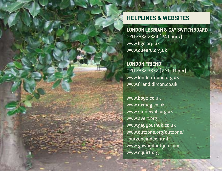# **HELPLINES & WEBSITES**

**London Lesbian & Gay Switchboard** 020 7837 7324 (24 hours) www.llgs.org.uk www.queery.org.uk

**London Friend** 020 7837 3337 (7.30-10pm) www.londonfriend.org.uk www.friend.dircon.co.uk

www.boyz.co.uk www.qxmag.co.uk www.stonewall.org.uk www.avert.org www.gayyouthuk.co.uk www.outzone.org/outzone/ outzoneindex.html www.gawhydontyou.com www.squirt.org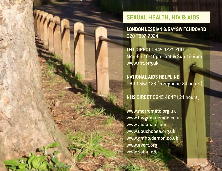# **SEXUAL HEALTH, HIV & AIDS**

**London Lesbian & Gay Switchboard** 020 7837 7324

**THT Direct** 0845 1221 200 Mon-Fri 10-10pm, Sat & Sun 12-6pm www.tht.org.uk

**National AIDS Helpline** 0800 567 123 (freephone 24 hours)

**NHS Direct** 0845 4647 (24 hours)

www.metromate.org.uk www.hivgum.demon.co.uk www.aidsmap.com www.youchoose.org.uk www.gmhp.demon.co.uk www.avert.org www.ssha.info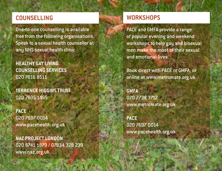# **COUNSELLING**

One-to-one counselling is available free from the following organisations. Speak to a sexual health counsellor at any NHS sexual health clinic.

**Healthy Gay Living Counselling Services** 020 7816 8511

**Terrence Higgins Trust** 020 7835 1495

**PACE** 020 7697 0014 www.pacehealth.org.uk

**NAZ Project London** 020 8741 1879 / 07834 328 239 www.naz.org.uk

# **WORKSHOPS**

PACE and GMFA provide a range of popular evening and weekend workshops to help gay and bisexual men make the most of their sexual and emotional lives.

Book direct with PACE or GMFA, or online at www.metromate.org.uk

**GMFA**  020 7738 3712 www.metromate.org.uk

**PACE** 020 7697 0014 www.pacehealth.org.uk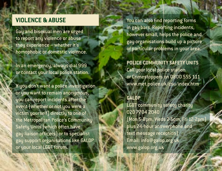# **VIOLENCE & ABUSE**

Gay and bisexual men are urged to report any violence or abuse they experience – whether it's homophobic or domestic violence.

In an emergency, always dial 999 or contact your local police station.

If you don't want a police investigation or you want to remain anonymous, you can report incidents after the event (whether or not you were a victim yourself) directly to one of the Metropolitan Police's Community Safety Units (which often have gay liaison officers) or to specialist gay support organisations like GALOP or your local LGBT forum.

You can also find reporting forms in gay bars. Reporting incidents, however small, helps the police and gay organisations build up a picture of particular problems in your area.

**Police Community Safety Units** Call your local police station or Crimestoppers on 0800 555 111 www.met.police.uk/csu/index.htm

## **GALOP**

LGBT community safety charity 020 7704 2040 (Mon 5-8pm, Weds 2-5pm, Fri 12-2pm) plus 24-hour answerphone and text message reception) Email: info@galop.org.uk www.galop.org.uk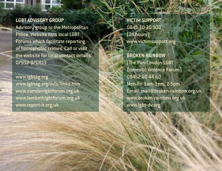### **LGBT Advisory Group**

Advisory group to the Metropolitan Police. Website lists local LGBT Forums which facilitate reporting of homophobic crimes. Call or visit the website for local contact details. 07952 970813

www.lgbtag.org www.lgbtag.org/info/links.htm www.camdenlgbtforum.org.uk www.lambethlgbtforum.org.uk www.report-it.org.uk

**Victim Support** 0845 30 30 900 (24 hours) www.victimsupport.org

**Broken Rainbow** (The Pan-London LGBT Domestic Violence Forum) 08452 60 44 60 Mon-Fri 9am-1pm, 2-5pm Email: mail@broken-rainbow.org.uk www.broken-rainbow.org.uk www.lgbt-dv.org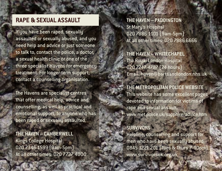# **RAPE & SEXUAL ASSAULT**

If you have been raped, sexually assaulted or sexually abused, and you need help and advice or just someone to talk to, contact the police, a doctor, a sexual health clinic or one of the three specialist Havens for emergency treatment. For longer-term support, contact a counselling organisation.

The Havens are specialist centres that offer medical help, advice and counselling, as well as practical and emotional support, to anyone who has been raped or sexually assaulted.

**The Haven – Camberwell** Kings College Hospital 020 7346 1599 (9am-5pm) At all other times: 020 7737 4000 **The Haven – Paddington** St Mary's Hospital 020 7886 1101 (9am-5pm) At all other times: 020 7886 6666

**The Haven – Whitechapel** The Royal London Hospital 020 7247 4787 (24 hours) Email: haven@bartsandlondon.nhs.uk

**The Metropolitan Police Website** This website has some excellent pages devoted to information for victims of rape and sexual assault. www.met.police.uk/sapphire/advice.htm

#### **Survivors**

Helpline, counselling and support for men who have been sexually abused. 0845 1221 201 (Tues & Thurs 7-10pm) www.survivorsuk.org.uk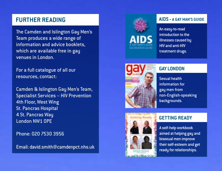# **FURTHER READIN**

The Camden and Islington Gay Men's Team produces a wide range of information and advice booklets, which are available free in gay venues in London.

For a full catalogue of all our resources, contact:

Camden & Islington Gay Men's Team, Specialist Services – HIV Prevention 4th Floor, West Wing St. Pancras Hospital 4 St. Pancras Way London NW1 0PE

Phone: 020 7530 3956

Email: david.smith@camdenpct.nhs.uk



#### **aiDS - A GAY MAN'S GUIDE '**

An easy-to-read introduction to the illnesses caused by HIV and anti-HIV treatment drugs.



#### **GAY LONDON l**

Sexual health information for gay men from non-English-speaking backgrounds.



#### *GETTING READY*

A self-help workbook aimed at helping gay and bisexual men improve their self-esteem and get ready for relationships.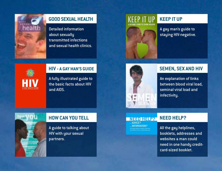

### **good sexual health**

Detailed information about sexually transmitted infections and sexual health clinics.



#### **keep it up**

A gay man's guide to staying HIV-negative.



#### **HIV - A Gay man's guide**

A fully illustrated guide to the basic facts about HIV and AIDS.



#### **semen, sex And hiv**

An explanation of links between blood viral load, seminal viral load and infectivity.

# **NEED HELP?**<br>ADVICE?

... INFORMATION?

#### **need help?**

All the gay helplines, booklets, addresses and websites a man could need in one handy creditcard-sized booklet.



#### **how can you tell**

A guide to talking about HIV with your sexual partners.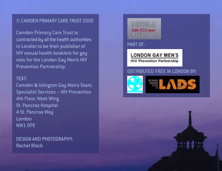#### © Camden Primary Care Trust 2005

Camden Primary Care Trust is contracted by all the health authorities in London to be their publisher of HIV sexual health booklets for gay men for the London Gay Men's HIV Prevention Partnership.

#### Text:

Camden & Islington Gay Men's Team, Specialist Services – HIV Prevention 4th Floor, West Wing St. Pancras Hospital 4 St. Pancras Way London NW1 0PE

Design and Photography: Rachel Black



part of:

**LONDON GAY MEN'S HIV Prevention Partnership** 

#### DISTRIBUTED FREE IN LONDON BY: